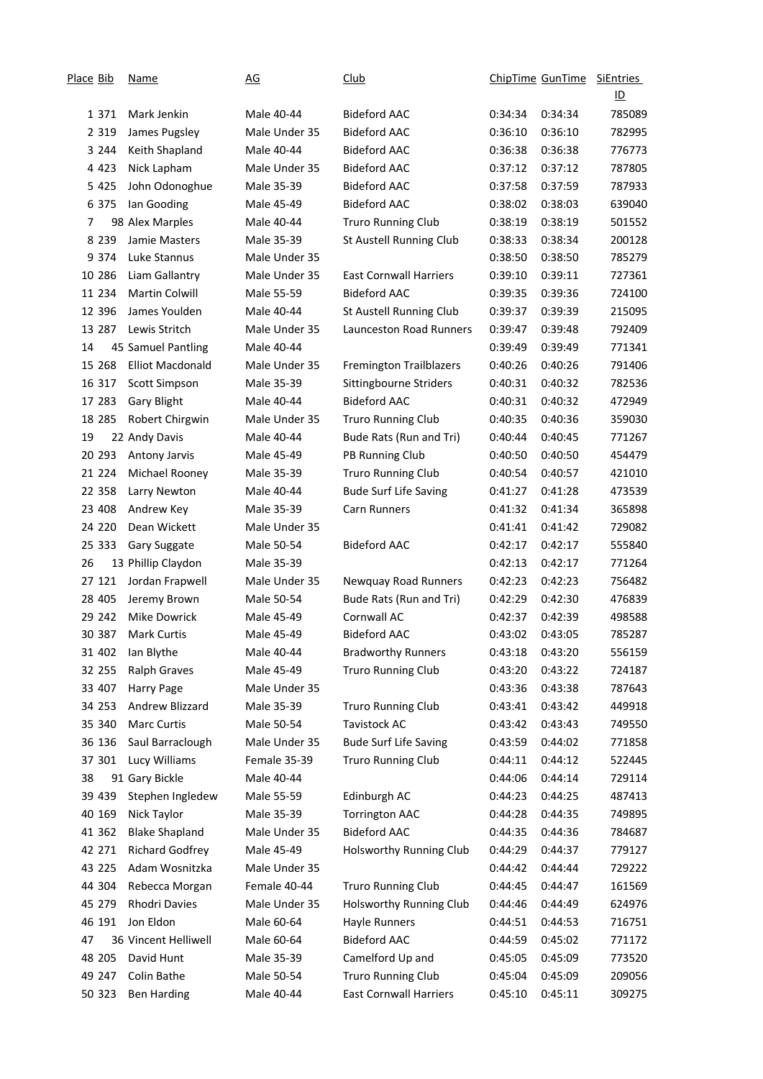| Place Bib |         | <u>Name</u>             | <u>AG</u>     | <b>Club</b>                   | ChipTime GunTime |         | <b>SiEntries</b>          |
|-----------|---------|-------------------------|---------------|-------------------------------|------------------|---------|---------------------------|
|           |         |                         |               |                               |                  |         | $\underline{\mathsf{ID}}$ |
|           | 1 3 7 1 | Mark Jenkin             | Male 40-44    | <b>Bideford AAC</b>           | 0:34:34          | 0:34:34 | 785089                    |
|           | 2 3 1 9 | James Pugsley           | Male Under 35 | <b>Bideford AAC</b>           | 0:36:10          | 0:36:10 | 782995                    |
|           | 3 2 4 4 | Keith Shapland          | Male 40-44    | <b>Bideford AAC</b>           | 0:36:38          | 0:36:38 | 776773                    |
|           | 4 4 2 3 | Nick Lapham             | Male Under 35 | <b>Bideford AAC</b>           | 0:37:12          | 0:37:12 | 787805                    |
|           | 5 4 2 5 | John Odonoghue          | Male 35-39    | <b>Bideford AAC</b>           | 0:37:58          | 0:37:59 | 787933                    |
|           | 6 3 7 5 | lan Gooding             | Male 45-49    | <b>Bideford AAC</b>           | 0:38:02          | 0:38:03 | 639040                    |
| 7         |         | 98 Alex Marples         | Male 40-44    | <b>Truro Running Club</b>     | 0:38:19          | 0:38:19 | 501552                    |
|           | 8 2 3 9 | Jamie Masters           | Male 35-39    | St Austell Running Club       | 0:38:33          | 0:38:34 | 200128                    |
|           | 9 3 7 4 | Luke Stannus            | Male Under 35 |                               | 0:38:50          | 0:38:50 | 785279                    |
|           | 10 286  | Liam Gallantry          | Male Under 35 | <b>East Cornwall Harriers</b> | 0:39:10          | 0:39:11 | 727361                    |
|           | 11 234  | <b>Martin Colwill</b>   | Male 55-59    | <b>Bideford AAC</b>           | 0:39:35          | 0:39:36 | 724100                    |
|           | 12 396  | James Youlden           | Male 40-44    | St Austell Running Club       | 0:39:37          | 0:39:39 | 215095                    |
|           | 13 287  | Lewis Stritch           | Male Under 35 | Launceston Road Runners       | 0:39:47          | 0:39:48 | 792409                    |
| 14        |         | 45 Samuel Pantling      | Male 40-44    |                               | 0:39:49          | 0:39:49 | 771341                    |
|           | 15 268  | <b>Elliot Macdonald</b> | Male Under 35 | Fremington Trailblazers       | 0:40:26          | 0:40:26 | 791406                    |
|           | 16 317  | <b>Scott Simpson</b>    | Male 35-39    | Sittingbourne Striders        | 0:40:31          | 0:40:32 | 782536                    |
|           | 17 283  | <b>Gary Blight</b>      | Male 40-44    | <b>Bideford AAC</b>           | 0:40:31          | 0:40:32 | 472949                    |
|           | 18 285  | Robert Chirgwin         | Male Under 35 | <b>Truro Running Club</b>     | 0:40:35          | 0:40:36 | 359030                    |
| 19        |         | 22 Andy Davis           | Male 40-44    | Bude Rats (Run and Tri)       | 0:40:44          | 0:40:45 | 771267                    |
|           | 20 29 3 | Antony Jarvis           | Male 45-49    | PB Running Club               | 0:40:50          | 0:40:50 | 454479                    |
|           | 21 224  | Michael Rooney          | Male 35-39    | Truro Running Club            | 0:40:54          | 0:40:57 | 421010                    |
|           | 22 358  | Larry Newton            | Male 40-44    | <b>Bude Surf Life Saving</b>  | 0:41:27          | 0:41:28 | 473539                    |
|           | 23 408  | Andrew Key              | Male 35-39    | <b>Carn Runners</b>           | 0:41:32          | 0:41:34 | 365898                    |
|           | 24 220  | Dean Wickett            | Male Under 35 |                               | 0:41:41          | 0:41:42 | 729082                    |
|           | 25 333  | Gary Suggate            | Male 50-54    | <b>Bideford AAC</b>           | 0:42:17          | 0:42:17 | 555840                    |
| 26        |         | 13 Phillip Claydon      | Male 35-39    |                               | 0:42:13          | 0:42:17 | 771264                    |
|           | 27 121  | Jordan Frapwell         | Male Under 35 | Newquay Road Runners          | 0:42:23          | 0:42:23 | 756482                    |
|           | 28 405  | Jeremy Brown            | Male 50-54    | Bude Rats (Run and Tri)       | 0:42:29          | 0:42:30 | 476839                    |
|           | 29 242  | <b>Mike Dowrick</b>     | Male 45-49    | Cornwall AC                   | 0:42:37          | 0:42:39 | 498588                    |
|           | 30 387  | <b>Mark Curtis</b>      | Male 45-49    | <b>Bideford AAC</b>           | 0:43:02          | 0:43:05 | 785287                    |
|           | 31 402  | Ian Blythe              | Male 40-44    | <b>Bradworthy Runners</b>     | 0:43:18          | 0:43:20 | 556159                    |
|           | 32 255  | <b>Ralph Graves</b>     | Male 45-49    | <b>Truro Running Club</b>     | 0:43:20          | 0:43:22 | 724187                    |
|           | 33 407  | Harry Page              | Male Under 35 |                               | 0:43:36          | 0:43:38 | 787643                    |
|           | 34 253  | Andrew Blizzard         | Male 35-39    | Truro Running Club            | 0:43:41          | 0:43:42 | 449918                    |
|           | 35 340  | <b>Marc Curtis</b>      | Male 50-54    | Tavistock AC                  | 0:43:42          | 0:43:43 | 749550                    |
|           | 36 136  | Saul Barraclough        | Male Under 35 | <b>Bude Surf Life Saving</b>  | 0:43:59          | 0:44:02 | 771858                    |
|           | 37 301  | Lucy Williams           | Female 35-39  | Truro Running Club            | 0:44:11          | 0:44:12 | 522445                    |
| 38        |         | 91 Gary Bickle          | Male 40-44    |                               | 0:44:06          | 0:44:14 | 729114                    |
|           | 39 439  | Stephen Ingledew        | Male 55-59    | Edinburgh AC                  | 0:44:23          | 0:44:25 | 487413                    |
|           | 40 169  | Nick Taylor             | Male 35-39    | <b>Torrington AAC</b>         | 0:44:28          | 0:44:35 | 749895                    |
|           | 41 362  | <b>Blake Shapland</b>   | Male Under 35 | <b>Bideford AAC</b>           | 0:44:35          | 0:44:36 | 784687                    |
|           | 42 271  | <b>Richard Godfrey</b>  | Male 45-49    | Holsworthy Running Club       | 0:44:29          | 0:44:37 | 779127                    |
|           | 43 225  | Adam Wosnitzka          | Male Under 35 |                               | 0:44:42          | 0:44:44 | 729222                    |
|           | 44 304  | Rebecca Morgan          | Female 40-44  | Truro Running Club            | 0:44:45          | 0:44:47 | 161569                    |
|           | 45 279  | <b>Rhodri Davies</b>    | Male Under 35 | Holsworthy Running Club       | 0:44:46          | 0:44:49 | 624976                    |
|           | 46 191  | Jon Eldon               | Male 60-64    | Hayle Runners                 | 0:44:51          | 0:44:53 | 716751                    |
| 47        |         | 36 Vincent Helliwell    | Male 60-64    | <b>Bideford AAC</b>           | 0:44:59          | 0:45:02 | 771172                    |
|           | 48 205  | David Hunt              | Male 35-39    | Camelford Up and              | 0:45:05          | 0:45:09 | 773520                    |
|           | 49 247  | Colin Bathe             | Male 50-54    | <b>Truro Running Club</b>     | 0:45:04          | 0:45:09 | 209056                    |
|           | 50 323  | <b>Ben Harding</b>      | Male 40-44    | <b>East Cornwall Harriers</b> | 0:45:10          | 0:45:11 | 309275                    |
|           |         |                         |               |                               |                  |         |                           |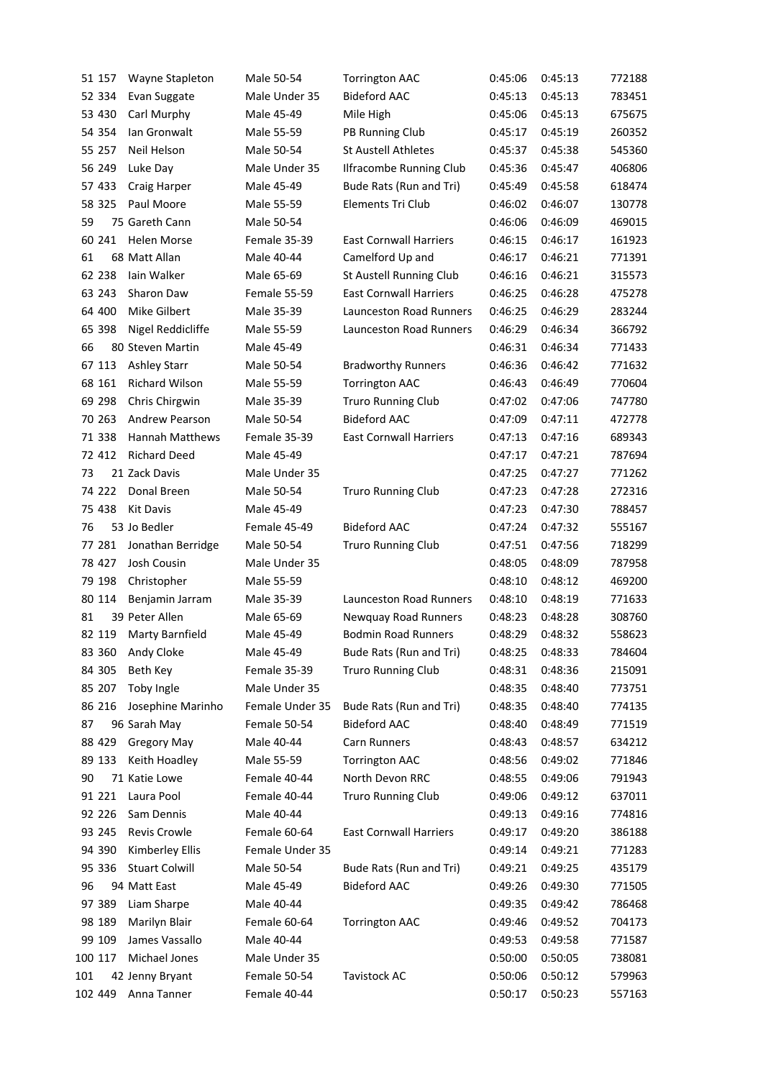|     | 51 157  | Wayne Stapleton        | Male 50-54      | <b>Torrington AAC</b>          | 0:45:06 | 0:45:13 | 772188 |
|-----|---------|------------------------|-----------------|--------------------------------|---------|---------|--------|
|     | 52 334  | Evan Suggate           | Male Under 35   | <b>Bideford AAC</b>            | 0:45:13 | 0:45:13 | 783451 |
|     | 53 430  | Carl Murphy            | Male 45-49      | Mile High                      | 0:45:06 | 0:45:13 | 675675 |
|     | 54 354  | Ian Gronwalt           | Male 55-59      | PB Running Club                | 0:45:17 | 0:45:19 | 260352 |
|     | 55 257  | Neil Helson            | Male 50-54      | <b>St Austell Athletes</b>     | 0:45:37 | 0:45:38 | 545360 |
|     | 56 249  | Luke Day               | Male Under 35   | Ilfracombe Running Club        | 0:45:36 | 0:45:47 | 406806 |
|     | 57 433  | Craig Harper           | Male 45-49      | Bude Rats (Run and Tri)        | 0:45:49 | 0:45:58 | 618474 |
|     | 58 325  | Paul Moore             | Male 55-59      | Elements Tri Club              | 0:46:02 | 0:46:07 | 130778 |
| 59  |         | 75 Gareth Cann         | Male 50-54      |                                | 0:46:06 | 0:46:09 | 469015 |
|     | 60 241  | <b>Helen Morse</b>     | Female 35-39    | <b>East Cornwall Harriers</b>  | 0:46:15 | 0:46:17 | 161923 |
| 61  |         | 68 Matt Allan          | Male 40-44      | Camelford Up and               | 0:46:17 | 0:46:21 | 771391 |
|     | 62 238  | lain Walker            | Male 65-69      | St Austell Running Club        | 0:46:16 | 0:46:21 | 315573 |
|     | 63 243  | Sharon Daw             | Female 55-59    | <b>East Cornwall Harriers</b>  | 0:46:25 | 0:46:28 | 475278 |
|     | 64 400  | Mike Gilbert           | Male 35-39      | Launceston Road Runners        | 0:46:25 | 0:46:29 | 283244 |
|     | 65 398  | Nigel Reddicliffe      | Male 55-59      | Launceston Road Runners        | 0:46:29 | 0:46:34 | 366792 |
| 66  |         | 80 Steven Martin       | Male 45-49      |                                | 0:46:31 | 0:46:34 | 771433 |
|     | 67 113  | Ashley Starr           | Male 50-54      | <b>Bradworthy Runners</b>      | 0:46:36 | 0:46:42 | 771632 |
|     | 68 161  | Richard Wilson         | Male 55-59      | <b>Torrington AAC</b>          | 0:46:43 | 0:46:49 | 770604 |
|     | 69 298  | Chris Chirgwin         | Male 35-39      | <b>Truro Running Club</b>      | 0:47:02 | 0:47:06 | 747780 |
|     | 70 263  | Andrew Pearson         | Male 50-54      | <b>Bideford AAC</b>            | 0:47:09 | 0:47:11 | 472778 |
|     | 71 338  | <b>Hannah Matthews</b> | Female 35-39    | <b>East Cornwall Harriers</b>  | 0:47:13 | 0:47:16 | 689343 |
|     | 72 412  | <b>Richard Deed</b>    | Male 45-49      |                                | 0:47:17 | 0:47:21 | 787694 |
| 73  |         | 21 Zack Davis          | Male Under 35   |                                | 0:47:25 | 0:47:27 | 771262 |
|     | 74 222  | Donal Breen            | Male 50-54      | <b>Truro Running Club</b>      | 0:47:23 | 0:47:28 | 272316 |
|     | 75 438  | <b>Kit Davis</b>       | Male 45-49      |                                | 0:47:23 | 0:47:30 | 788457 |
| 76  |         | 53 Jo Bedler           | Female 45-49    | <b>Bideford AAC</b>            | 0:47:24 | 0:47:32 | 555167 |
|     | 77 281  | Jonathan Berridge      | Male 50-54      | <b>Truro Running Club</b>      | 0:47:51 | 0:47:56 | 718299 |
|     | 78 427  | Josh Cousin            | Male Under 35   |                                | 0:48:05 | 0:48:09 | 787958 |
|     | 79 198  | Christopher            | Male 55-59      |                                | 0:48:10 | 0:48:12 | 469200 |
|     | 80 114  | Benjamin Jarram        | Male 35-39      | <b>Launceston Road Runners</b> | 0:48:10 | 0:48:19 | 771633 |
| 81  |         | 39 Peter Allen         | Male 65-69      | Newquay Road Runners           | 0:48:23 | 0:48:28 | 308760 |
|     | 82 119  | Marty Barnfield        | Male 45-49      | <b>Bodmin Road Runners</b>     | 0:48:29 | 0:48:32 | 558623 |
|     | 83 360  | Andy Cloke             | Male 45-49      | Bude Rats (Run and Tri)        | 0:48:25 | 0:48:33 | 784604 |
|     | 84 305  | Beth Key               | Female 35-39    | <b>Truro Running Club</b>      | 0:48:31 | 0:48:36 | 215091 |
|     | 85 207  | Toby Ingle             | Male Under 35   |                                | 0:48:35 | 0:48:40 | 773751 |
|     | 86 216  | Josephine Marinho      | Female Under 35 | Bude Rats (Run and Tri)        | 0:48:35 | 0:48:40 | 774135 |
| 87  |         | 96 Sarah May           | Female 50-54    | <b>Bideford AAC</b>            | 0:48:40 | 0:48:49 | 771519 |
|     | 88 429  | <b>Gregory May</b>     | Male 40-44      | Carn Runners                   | 0:48:43 | 0:48:57 | 634212 |
|     | 89 133  | Keith Hoadley          | Male 55-59      | <b>Torrington AAC</b>          | 0:48:56 | 0:49:02 | 771846 |
| 90  |         | 71 Katie Lowe          | Female 40-44    | North Devon RRC                | 0:48:55 | 0:49:06 | 791943 |
|     | 91 221  | Laura Pool             | Female 40-44    | Truro Running Club             | 0:49:06 | 0:49:12 | 637011 |
|     | 92 226  | Sam Dennis             | Male 40-44      |                                | 0:49:13 | 0:49:16 | 774816 |
|     | 93 245  | Revis Crowle           | Female 60-64    | <b>East Cornwall Harriers</b>  | 0:49:17 | 0:49:20 | 386188 |
|     | 94 390  | Kimberley Ellis        | Female Under 35 |                                | 0:49:14 | 0:49:21 | 771283 |
|     | 95 336  | <b>Stuart Colwill</b>  | Male 50-54      | Bude Rats (Run and Tri)        | 0:49:21 | 0:49:25 | 435179 |
| 96  |         | 94 Matt East           | Male 45-49      | <b>Bideford AAC</b>            | 0:49:26 | 0:49:30 | 771505 |
|     | 97 389  | Liam Sharpe            | Male 40-44      |                                | 0:49:35 | 0:49:42 | 786468 |
|     | 98 189  | Marilyn Blair          | Female 60-64    | <b>Torrington AAC</b>          | 0:49:46 | 0:49:52 | 704173 |
|     | 99 109  | James Vassallo         | Male 40-44      |                                | 0:49:53 | 0:49:58 | 771587 |
|     | 100 117 | Michael Jones          | Male Under 35   |                                | 0:50:00 | 0:50:05 | 738081 |
| 101 |         | 42 Jenny Bryant        | Female 50-54    | Tavistock AC                   | 0:50:06 | 0:50:12 | 579963 |
|     | 102 449 | Anna Tanner            | Female 40-44    |                                | 0:50:17 | 0:50:23 | 557163 |
|     |         |                        |                 |                                |         |         |        |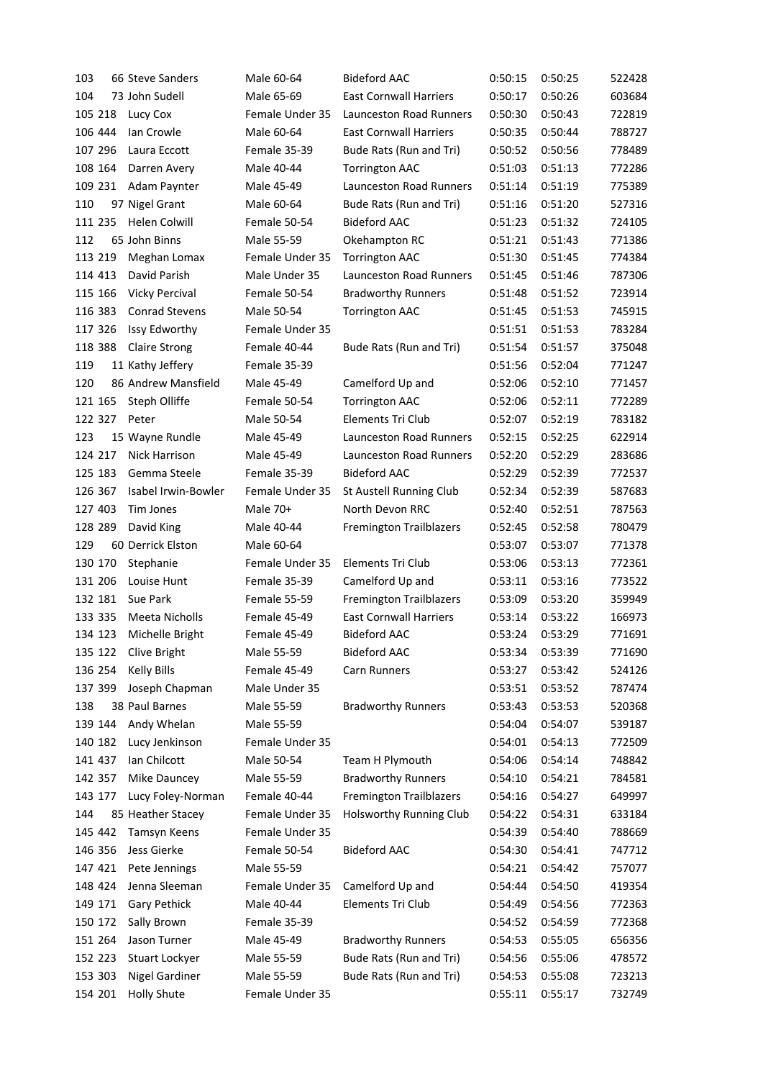| 103     | 66 Steve Sanders      | Male 60-64      | <b>Bideford AAC</b>            | 0:50:15 | 0:50:25 | 522428 |
|---------|-----------------------|-----------------|--------------------------------|---------|---------|--------|
| 104     | 73 John Sudell        | Male 65-69      | <b>East Cornwall Harriers</b>  | 0:50:17 | 0:50:26 | 603684 |
| 105 218 | Lucy Cox              | Female Under 35 | <b>Launceston Road Runners</b> | 0:50:30 | 0:50:43 | 722819 |
| 106 444 | Ian Crowle            | Male 60-64      | <b>East Cornwall Harriers</b>  | 0:50:35 | 0:50:44 | 788727 |
| 107 296 | Laura Eccott          | Female 35-39    | Bude Rats (Run and Tri)        | 0:50:52 | 0:50:56 | 778489 |
| 108 164 | Darren Avery          | Male 40-44      | <b>Torrington AAC</b>          | 0:51:03 | 0:51:13 | 772286 |
| 109 231 | Adam Paynter          | Male 45-49      | <b>Launceston Road Runners</b> | 0:51:14 | 0:51:19 | 775389 |
| 110     | 97 Nigel Grant        | Male 60-64      | Bude Rats (Run and Tri)        | 0:51:16 | 0:51:20 | 527316 |
| 111 235 | <b>Helen Colwill</b>  | Female 50-54    | <b>Bideford AAC</b>            | 0:51:23 | 0:51:32 | 724105 |
| 112     | 65 John Binns         | Male 55-59      | Okehampton RC                  | 0:51:21 | 0:51:43 | 771386 |
| 113 219 | Meghan Lomax          | Female Under 35 | <b>Torrington AAC</b>          | 0:51:30 | 0:51:45 | 774384 |
| 114 413 | David Parish          | Male Under 35   | Launceston Road Runners        | 0:51:45 | 0:51:46 | 787306 |
| 115 166 | Vicky Percival        | Female 50-54    | <b>Bradworthy Runners</b>      | 0:51:48 | 0:51:52 | 723914 |
| 116 383 | <b>Conrad Stevens</b> | Male 50-54      | <b>Torrington AAC</b>          | 0:51:45 | 0:51:53 | 745915 |
| 117 326 | Issy Edworthy         | Female Under 35 |                                | 0:51:51 | 0:51:53 | 783284 |
| 118 388 | <b>Claire Strong</b>  | Female 40-44    | Bude Rats (Run and Tri)        | 0:51:54 | 0:51:57 | 375048 |
| 119     | 11 Kathy Jeffery      | Female 35-39    |                                | 0:51:56 | 0:52:04 | 771247 |
| 120     | 86 Andrew Mansfield   | Male 45-49      | Camelford Up and               | 0:52:06 | 0:52:10 | 771457 |
| 121 165 | Steph Olliffe         | Female 50-54    | <b>Torrington AAC</b>          | 0:52:06 | 0:52:11 | 772289 |
| 122 327 | Peter                 | Male 50-54      | <b>Elements Tri Club</b>       | 0:52:07 | 0:52:19 | 783182 |
| 123     | 15 Wayne Rundle       | Male 45-49      | Launceston Road Runners        | 0:52:15 | 0:52:25 | 622914 |
| 124 217 | Nick Harrison         | Male 45-49      | <b>Launceston Road Runners</b> | 0:52:20 | 0:52:29 | 283686 |
| 125 183 | Gemma Steele          | Female 35-39    | <b>Bideford AAC</b>            | 0:52:29 | 0:52:39 | 772537 |
| 126 367 | Isabel Irwin-Bowler   | Female Under 35 | St Austell Running Club        | 0:52:34 | 0:52:39 | 587683 |
| 127 403 | Tim Jones             | Male 70+        | North Devon RRC                | 0:52:40 | 0:52:51 | 787563 |
| 128 289 | David King            | Male 40-44      | <b>Fremington Trailblazers</b> | 0:52:45 | 0:52:58 | 780479 |
| 129     | 60 Derrick Elston     | Male 60-64      |                                | 0:53:07 | 0:53:07 | 771378 |
| 130 170 | Stephanie             | Female Under 35 | Elements Tri Club              | 0:53:06 | 0:53:13 | 772361 |
| 131 206 | Louise Hunt           | Female 35-39    | Camelford Up and               | 0:53:11 | 0:53:16 | 773522 |
| 132 181 | Sue Park              | Female 55-59    | <b>Fremington Trailblazers</b> | 0:53:09 | 0:53:20 | 359949 |
| 133 335 | <b>Meeta Nicholls</b> | Female 45-49    | <b>East Cornwall Harriers</b>  | 0:53:14 | 0:53:22 | 166973 |
| 134 123 | Michelle Bright       | Female 45-49    | <b>Bideford AAC</b>            | 0:53:24 | 0:53:29 | 771691 |
| 135 122 | Clive Bright          | Male 55-59      | <b>Bideford AAC</b>            | 0:53:34 | 0:53:39 | 771690 |
| 136 254 | <b>Kelly Bills</b>    | Female 45-49    | Carn Runners                   | 0:53:27 | 0:53:42 | 524126 |
| 137 399 | Joseph Chapman        | Male Under 35   |                                | 0:53:51 | 0:53:52 | 787474 |
| 138     | 38 Paul Barnes        | Male 55-59      | <b>Bradworthy Runners</b>      | 0:53:43 | 0:53:53 | 520368 |
| 139 144 | Andy Whelan           | Male 55-59      |                                | 0:54:04 | 0:54:07 | 539187 |
| 140 182 | Lucy Jenkinson        | Female Under 35 |                                | 0:54:01 | 0:54:13 | 772509 |
| 141 437 | Ian Chilcott          | Male 50-54      | Team H Plymouth                | 0:54:06 | 0:54:14 | 748842 |
| 142 357 | Mike Dauncey          | Male 55-59      | <b>Bradworthy Runners</b>      | 0:54:10 | 0:54:21 | 784581 |
| 143 177 | Lucy Foley-Norman     | Female 40-44    | <b>Fremington Trailblazers</b> | 0:54:16 | 0:54:27 | 649997 |
| 144     | 85 Heather Stacey     | Female Under 35 | <b>Holsworthy Running Club</b> | 0:54:22 | 0:54:31 | 633184 |
| 145 442 | Tamsyn Keens          | Female Under 35 |                                | 0:54:39 | 0:54:40 | 788669 |
| 146 356 | Jess Gierke           | Female 50-54    | <b>Bideford AAC</b>            | 0:54:30 | 0:54:41 | 747712 |
| 147 421 | Pete Jennings         | Male 55-59      |                                | 0:54:21 | 0:54:42 | 757077 |
| 148 424 | Jenna Sleeman         | Female Under 35 | Camelford Up and               | 0:54:44 | 0:54:50 | 419354 |
| 149 171 | <b>Gary Pethick</b>   | Male 40-44      | Elements Tri Club              | 0:54:49 | 0:54:56 | 772363 |
| 150 172 | Sally Brown           | Female 35-39    |                                | 0:54:52 | 0:54:59 | 772368 |
| 151 264 | Jason Turner          | Male 45-49      | <b>Bradworthy Runners</b>      | 0:54:53 | 0:55:05 | 656356 |
| 152 223 | Stuart Lockyer        | Male 55-59      | Bude Rats (Run and Tri)        | 0:54:56 | 0:55:06 | 478572 |
| 153 303 | <b>Nigel Gardiner</b> | Male 55-59      | Bude Rats (Run and Tri)        | 0:54:53 | 0:55:08 | 723213 |
| 154 201 | <b>Holly Shute</b>    | Female Under 35 |                                | 0:55:11 | 0:55:17 | 732749 |
|         |                       |                 |                                |         |         |        |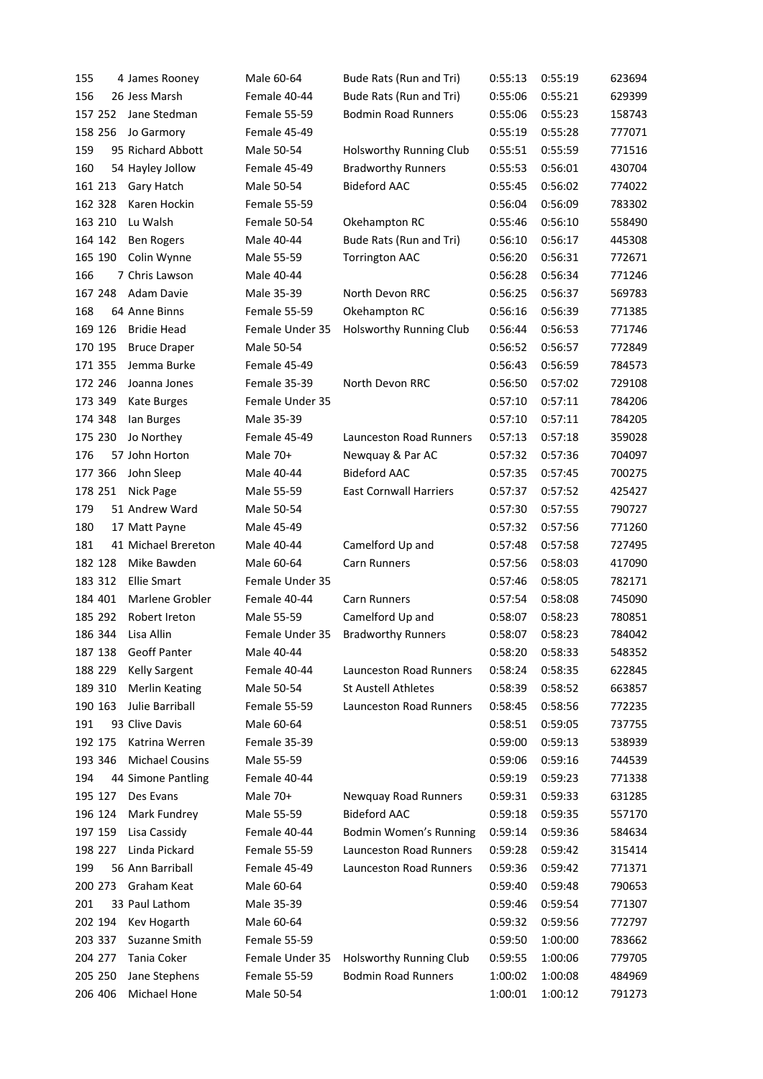| 155 |         | 4 James Rooney         | Male 60-64      | Bude Rats (Run and Tri)       | 0:55:13 | 0:55:19 | 623694 |
|-----|---------|------------------------|-----------------|-------------------------------|---------|---------|--------|
| 156 |         | 26 Jess Marsh          | Female 40-44    | Bude Rats (Run and Tri)       | 0:55:06 | 0:55:21 | 629399 |
|     | 157 252 | Jane Stedman           | Female 55-59    | <b>Bodmin Road Runners</b>    | 0:55:06 | 0:55:23 | 158743 |
|     | 158 256 | Jo Garmory             | Female 45-49    |                               | 0:55:19 | 0:55:28 | 777071 |
| 159 |         | 95 Richard Abbott      | Male 50-54      | Holsworthy Running Club       | 0:55:51 | 0:55:59 | 771516 |
| 160 |         | 54 Hayley Jollow       | Female 45-49    | <b>Bradworthy Runners</b>     | 0:55:53 | 0:56:01 | 430704 |
|     | 161 213 | Gary Hatch             | Male 50-54      | <b>Bideford AAC</b>           | 0:55:45 | 0:56:02 | 774022 |
|     | 162 328 | Karen Hockin           | Female 55-59    |                               | 0:56:04 | 0:56:09 | 783302 |
|     | 163 210 | Lu Walsh               | Female 50-54    | Okehampton RC                 | 0:55:46 | 0:56:10 | 558490 |
|     | 164 142 | <b>Ben Rogers</b>      | Male 40-44      | Bude Rats (Run and Tri)       | 0:56:10 | 0:56:17 | 445308 |
|     | 165 190 | Colin Wynne            | Male 55-59      | <b>Torrington AAC</b>         | 0:56:20 | 0:56:31 | 772671 |
| 166 |         | 7 Chris Lawson         | Male 40-44      |                               | 0:56:28 | 0:56:34 | 771246 |
|     | 167 248 | Adam Davie             | Male 35-39      | North Devon RRC               | 0:56:25 | 0:56:37 | 569783 |
| 168 |         | 64 Anne Binns          | Female 55-59    | Okehampton RC                 | 0:56:16 | 0:56:39 | 771385 |
|     | 169 126 | <b>Bridie Head</b>     | Female Under 35 | Holsworthy Running Club       | 0:56:44 | 0:56:53 | 771746 |
|     | 170 195 | <b>Bruce Draper</b>    | Male 50-54      |                               | 0:56:52 | 0:56:57 | 772849 |
|     | 171 355 | Jemma Burke            | Female 45-49    |                               | 0:56:43 | 0:56:59 | 784573 |
|     | 172 246 | Joanna Jones           | Female 35-39    | North Devon RRC               | 0:56:50 | 0:57:02 | 729108 |
|     | 173 349 | Kate Burges            | Female Under 35 |                               | 0:57:10 | 0:57:11 | 784206 |
|     | 174 348 | lan Burges             | Male 35-39      |                               | 0:57:10 | 0:57:11 | 784205 |
|     | 175 230 | Jo Northey             | Female 45-49    | Launceston Road Runners       | 0:57:13 | 0:57:18 | 359028 |
| 176 |         | 57 John Horton         | Male 70+        | Newquay & Par AC              | 0:57:32 | 0:57:36 | 704097 |
|     | 177 366 | John Sleep             | Male 40-44      | <b>Bideford AAC</b>           | 0:57:35 | 0:57:45 | 700275 |
|     | 178 251 | Nick Page              | Male 55-59      | <b>East Cornwall Harriers</b> | 0:57:37 | 0:57:52 | 425427 |
| 179 |         | 51 Andrew Ward         | Male 50-54      |                               | 0:57:30 | 0:57:55 | 790727 |
| 180 |         | 17 Matt Payne          | Male 45-49      |                               | 0:57:32 | 0:57:56 | 771260 |
| 181 |         | 41 Michael Brereton    | Male 40-44      | Camelford Up and              | 0:57:48 | 0:57:58 | 727495 |
|     | 182 128 | Mike Bawden            | Male 60-64      | <b>Carn Runners</b>           | 0:57:56 | 0:58:03 | 417090 |
|     | 183 312 | <b>Ellie Smart</b>     | Female Under 35 |                               | 0:57:46 | 0:58:05 | 782171 |
|     | 184 401 | Marlene Grobler        | Female 40-44    | <b>Carn Runners</b>           | 0:57:54 | 0:58:08 | 745090 |
|     | 185 292 | Robert Ireton          | Male 55-59      | Camelford Up and              | 0:58:07 | 0:58:23 | 780851 |
|     | 186 344 | Lisa Allin             | Female Under 35 | <b>Bradworthy Runners</b>     | 0:58:07 | 0:58:23 | 784042 |
|     | 187 138 | Geoff Panter           | Male 40-44      |                               | 0:58:20 | 0:58:33 | 548352 |
|     | 188 229 | <b>Kelly Sargent</b>   | Female 40-44    | Launceston Road Runners       | 0:58:24 | 0:58:35 | 622845 |
|     | 189 310 | <b>Merlin Keating</b>  | Male 50-54      | <b>St Austell Athletes</b>    | 0:58:39 | 0:58:52 | 663857 |
|     | 190 163 | Julie Barriball        | Female 55-59    | Launceston Road Runners       | 0:58:45 | 0:58:56 | 772235 |
| 191 |         | 93 Clive Davis         | Male 60-64      |                               | 0:58:51 | 0:59:05 | 737755 |
|     | 192 175 | Katrina Werren         | Female 35-39    |                               | 0:59:00 | 0:59:13 | 538939 |
|     | 193 346 | <b>Michael Cousins</b> | Male 55-59      |                               | 0:59:06 | 0:59:16 | 744539 |
| 194 |         | 44 Simone Pantling     | Female 40-44    |                               | 0:59:19 | 0:59:23 | 771338 |
|     | 195 127 | Des Evans              | Male 70+        | Newquay Road Runners          | 0:59:31 | 0:59:33 | 631285 |
|     | 196 124 | Mark Fundrey           | Male 55-59      | <b>Bideford AAC</b>           | 0:59:18 | 0:59:35 | 557170 |
|     | 197 159 | Lisa Cassidy           | Female 40-44    | Bodmin Women's Running        | 0:59:14 | 0:59:36 | 584634 |
|     | 198 227 | Linda Pickard          | Female 55-59    | Launceston Road Runners       | 0:59:28 | 0:59:42 | 315414 |
| 199 |         | 56 Ann Barriball       | Female 45-49    | Launceston Road Runners       | 0:59:36 | 0:59:42 | 771371 |
|     | 200 273 | Graham Keat            | Male 60-64      |                               | 0:59:40 | 0:59:48 | 790653 |
| 201 |         | 33 Paul Lathom         | Male 35-39      |                               | 0:59:46 | 0:59:54 | 771307 |
|     | 202 194 | Kev Hogarth            | Male 60-64      |                               | 0:59:32 | 0:59:56 | 772797 |
|     | 203 337 | Suzanne Smith          | Female 55-59    |                               | 0:59:50 | 1:00:00 | 783662 |
|     | 204 277 | Tania Coker            | Female Under 35 | Holsworthy Running Club       | 0:59:55 | 1:00:06 | 779705 |
|     | 205 250 | Jane Stephens          | Female 55-59    | <b>Bodmin Road Runners</b>    | 1:00:02 | 1:00:08 | 484969 |
|     | 206 406 | Michael Hone           | Male 50-54      |                               | 1:00:01 | 1:00:12 | 791273 |
|     |         |                        |                 |                               |         |         |        |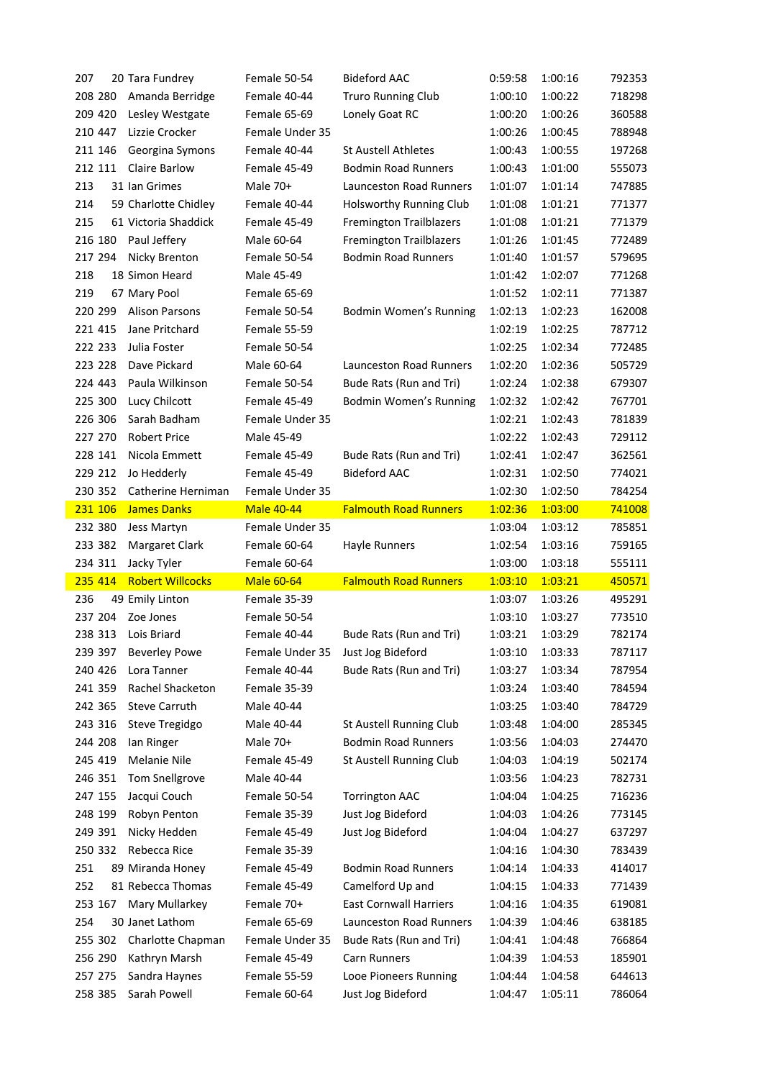| 207     | 20 Tara Fundrey         | Female 50-54      | <b>Bideford AAC</b>            | 0:59:58 | 1:00:16 | 792353 |
|---------|-------------------------|-------------------|--------------------------------|---------|---------|--------|
| 208 280 | Amanda Berridge         | Female 40-44      | <b>Truro Running Club</b>      | 1:00:10 | 1:00:22 | 718298 |
| 209 420 | Lesley Westgate         | Female 65-69      | Lonely Goat RC                 | 1:00:20 | 1:00:26 | 360588 |
| 210 447 | Lizzie Crocker          | Female Under 35   |                                | 1:00:26 | 1:00:45 | 788948 |
| 211 146 | Georgina Symons         | Female 40-44      | <b>St Austell Athletes</b>     | 1:00:43 | 1:00:55 | 197268 |
| 212 111 | <b>Claire Barlow</b>    | Female 45-49      | <b>Bodmin Road Runners</b>     | 1:00:43 | 1:01:00 | 555073 |
| 213     | 31 Ian Grimes           | Male 70+          | Launceston Road Runners        | 1:01:07 | 1:01:14 | 747885 |
| 214     | 59 Charlotte Chidley    | Female 40-44      | Holsworthy Running Club        | 1:01:08 | 1:01:21 | 771377 |
| 215     | 61 Victoria Shaddick    | Female 45-49      | <b>Fremington Trailblazers</b> | 1:01:08 | 1:01:21 | 771379 |
| 216 180 | Paul Jeffery            | Male 60-64        | <b>Fremington Trailblazers</b> | 1:01:26 | 1:01:45 | 772489 |
| 217 294 | Nicky Brenton           | Female 50-54      | <b>Bodmin Road Runners</b>     | 1:01:40 | 1:01:57 | 579695 |
| 218     | 18 Simon Heard          | Male 45-49        |                                | 1:01:42 | 1:02:07 | 771268 |
| 219     | 67 Mary Pool            | Female 65-69      |                                | 1:01:52 | 1:02:11 | 771387 |
| 220 299 | <b>Alison Parsons</b>   | Female 50-54      | Bodmin Women's Running         | 1:02:13 | 1:02:23 | 162008 |
| 221 415 | Jane Pritchard          | Female 55-59      |                                | 1:02:19 | 1:02:25 | 787712 |
| 222 233 | Julia Foster            | Female 50-54      |                                | 1:02:25 | 1:02:34 | 772485 |
| 223 228 | Dave Pickard            | Male 60-64        | Launceston Road Runners        | 1:02:20 | 1:02:36 | 505729 |
| 224 443 | Paula Wilkinson         | Female 50-54      | Bude Rats (Run and Tri)        | 1:02:24 | 1:02:38 | 679307 |
| 225 300 | Lucy Chilcott           | Female 45-49      | Bodmin Women's Running         | 1:02:32 | 1:02:42 | 767701 |
| 226 306 | Sarah Badham            | Female Under 35   |                                | 1:02:21 | 1:02:43 | 781839 |
| 227 270 | <b>Robert Price</b>     | Male 45-49        |                                | 1:02:22 | 1:02:43 | 729112 |
| 228 141 | Nicola Emmett           | Female 45-49      | Bude Rats (Run and Tri)        | 1:02:41 | 1:02:47 | 362561 |
| 229 212 | Jo Hedderly             | Female 45-49      | <b>Bideford AAC</b>            | 1:02:31 | 1:02:50 | 774021 |
| 230 352 | Catherine Herniman      | Female Under 35   |                                | 1:02:30 | 1:02:50 | 784254 |
| 231 106 | <b>James Danks</b>      | <b>Male 40-44</b> | <b>Falmouth Road Runners</b>   | 1:02:36 | 1:03:00 | 741008 |
| 232 380 | Jess Martyn             | Female Under 35   |                                | 1:03:04 | 1:03:12 | 785851 |
|         |                         |                   |                                |         |         |        |
|         |                         |                   |                                |         |         |        |
| 233 382 | Margaret Clark          | Female 60-64      | Hayle Runners                  | 1:02:54 | 1:03:16 | 759165 |
| 234 311 | Jacky Tyler             | Female 60-64      |                                | 1:03:00 | 1:03:18 | 555111 |
| 235 414 | <b>Robert Willcocks</b> | <b>Male 60-64</b> | <b>Falmouth Road Runners</b>   | 1:03:10 | 1:03:21 | 450571 |
| 236     | 49 Emily Linton         | Female 35-39      |                                | 1:03:07 | 1:03:26 | 495291 |
| 237 204 | Zoe Jones               | Female 50-54      |                                | 1:03:10 | 1:03:27 | 773510 |
| 238 313 | Lois Briard             | Female 40-44      | Bude Rats (Run and Tri)        | 1:03:21 | 1:03:29 | 782174 |
| 239 397 | <b>Beverley Powe</b>    | Female Under 35   | Just Jog Bideford              | 1:03:10 | 1:03:33 | 787117 |
| 240 426 | Lora Tanner             | Female 40-44      | Bude Rats (Run and Tri)        | 1:03:27 | 1:03:34 | 787954 |
| 241 359 | <b>Rachel Shacketon</b> | Female 35-39      |                                | 1:03:24 | 1:03:40 | 784594 |
| 242 365 | <b>Steve Carruth</b>    | Male 40-44        |                                | 1:03:25 | 1:03:40 | 784729 |
| 243 316 | Steve Tregidgo          | Male 40-44        | St Austell Running Club        | 1:03:48 | 1:04:00 | 285345 |
| 244 208 | lan Ringer              | Male 70+          | <b>Bodmin Road Runners</b>     | 1:03:56 | 1:04:03 | 274470 |
| 245 419 | Melanie Nile            | Female 45-49      | St Austell Running Club        | 1:04:03 | 1:04:19 | 502174 |
| 246 351 | <b>Tom Snellgrove</b>   | Male 40-44        |                                | 1:03:56 | 1:04:23 | 782731 |
| 247 155 | Jacqui Couch            | Female 50-54      | <b>Torrington AAC</b>          | 1:04:04 | 1:04:25 | 716236 |
| 248 199 | Robyn Penton            | Female 35-39      | Just Jog Bideford              | 1:04:03 | 1:04:26 | 773145 |
| 249 391 | Nicky Hedden            | Female 45-49      | Just Jog Bideford              | 1:04:04 | 1:04:27 | 637297 |
| 250 332 | Rebecca Rice            | Female 35-39      |                                | 1:04:16 | 1:04:30 | 783439 |
| 251     | 89 Miranda Honey        | Female 45-49      | <b>Bodmin Road Runners</b>     | 1:04:14 | 1:04:33 | 414017 |
| 252     | 81 Rebecca Thomas       | Female 45-49      | Camelford Up and               | 1:04:15 | 1:04:33 | 771439 |
| 253 167 | Mary Mullarkey          | Female 70+        | <b>East Cornwall Harriers</b>  | 1:04:16 | 1:04:35 | 619081 |
| 254     | 30 Janet Lathom         | Female 65-69      | Launceston Road Runners        | 1:04:39 | 1:04:46 | 638185 |
| 255 302 | Charlotte Chapman       | Female Under 35   | Bude Rats (Run and Tri)        | 1:04:41 | 1:04:48 | 766864 |
| 256 290 | Kathryn Marsh           | Female 45-49      | Carn Runners                   | 1:04:39 | 1:04:53 | 185901 |
| 257 275 | Sandra Haynes           | Female 55-59      | Looe Pioneers Running          | 1:04:44 | 1:04:58 | 644613 |
| 258 385 | Sarah Powell            | Female 60-64      | Just Jog Bideford              | 1:04:47 | 1:05:11 | 786064 |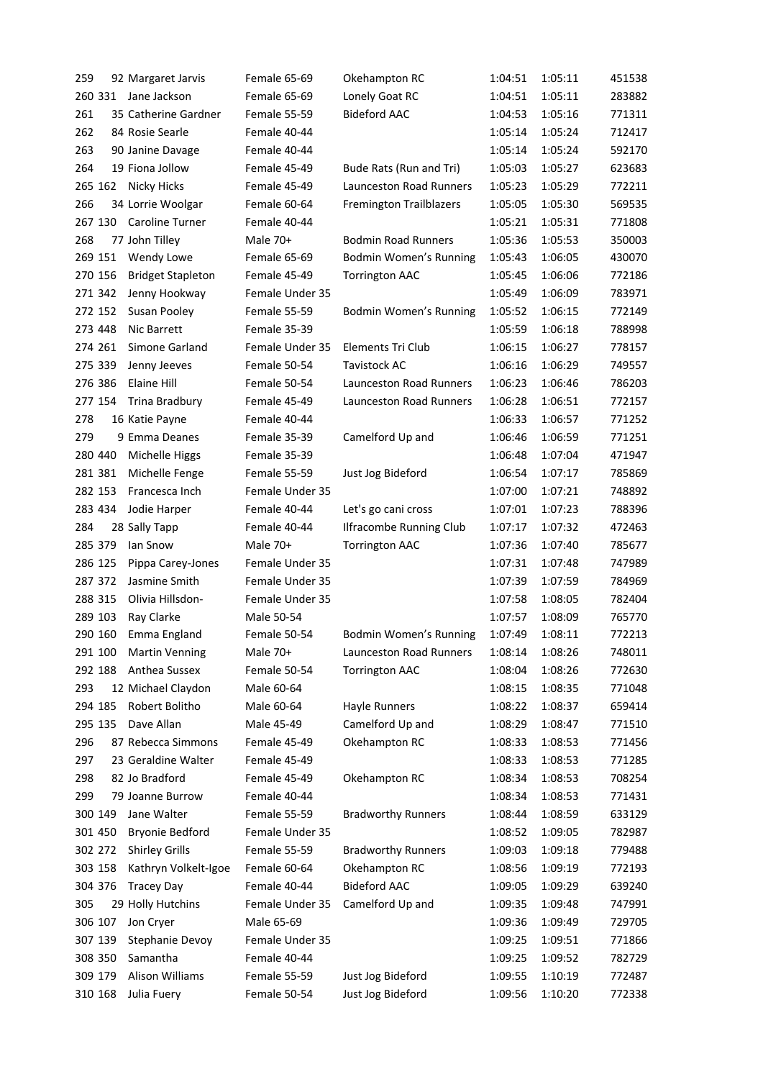| 259 |         | 92 Margaret Jarvis       | Female 65-69    | Okehampton RC                  | 1:04:51 | 1:05:11 | 451538 |
|-----|---------|--------------------------|-----------------|--------------------------------|---------|---------|--------|
|     | 260 331 | Jane Jackson             | Female 65-69    | Lonely Goat RC                 | 1:04:51 | 1:05:11 | 283882 |
| 261 |         | 35 Catherine Gardner     | Female 55-59    | <b>Bideford AAC</b>            | 1:04:53 | 1:05:16 | 771311 |
| 262 |         | 84 Rosie Searle          | Female 40-44    |                                | 1:05:14 | 1:05:24 | 712417 |
| 263 |         | 90 Janine Davage         | Female 40-44    |                                | 1:05:14 | 1:05:24 | 592170 |
| 264 |         | 19 Fiona Jollow          | Female 45-49    | Bude Rats (Run and Tri)        | 1:05:03 | 1:05:27 | 623683 |
|     | 265 162 | <b>Nicky Hicks</b>       | Female 45-49    | Launceston Road Runners        | 1:05:23 | 1:05:29 | 772211 |
| 266 |         | 34 Lorrie Woolgar        | Female 60-64    | <b>Fremington Trailblazers</b> | 1:05:05 | 1:05:30 | 569535 |
|     | 267 130 | Caroline Turner          | Female 40-44    |                                | 1:05:21 | 1:05:31 | 771808 |
| 268 |         | 77 John Tilley           | Male 70+        | <b>Bodmin Road Runners</b>     | 1:05:36 | 1:05:53 | 350003 |
|     | 269 151 | Wendy Lowe               | Female 65-69    | Bodmin Women's Running         | 1:05:43 | 1:06:05 | 430070 |
|     | 270 156 | <b>Bridget Stapleton</b> | Female 45-49    | <b>Torrington AAC</b>          | 1:05:45 | 1:06:06 | 772186 |
|     | 271 342 | Jenny Hookway            | Female Under 35 |                                | 1:05:49 | 1:06:09 | 783971 |
|     | 272 152 | Susan Pooley             | Female 55-59    | Bodmin Women's Running         | 1:05:52 | 1:06:15 | 772149 |
|     | 273 448 | Nic Barrett              | Female 35-39    |                                | 1:05:59 | 1:06:18 | 788998 |
|     | 274 261 | Simone Garland           | Female Under 35 | Elements Tri Club              | 1:06:15 | 1:06:27 | 778157 |
|     | 275 339 | Jenny Jeeves             | Female 50-54    | <b>Tavistock AC</b>            | 1:06:16 | 1:06:29 | 749557 |
|     | 276 386 | Elaine Hill              | Female 50-54    | <b>Launceston Road Runners</b> | 1:06:23 | 1:06:46 | 786203 |
|     | 277 154 | Trina Bradbury           | Female 45-49    | Launceston Road Runners        | 1:06:28 | 1:06:51 | 772157 |
| 278 |         | 16 Katie Payne           | Female 40-44    |                                | 1:06:33 | 1:06:57 | 771252 |
| 279 |         | 9 Emma Deanes            | Female 35-39    | Camelford Up and               | 1:06:46 | 1:06:59 | 771251 |
|     | 280 440 | <b>Michelle Higgs</b>    | Female 35-39    |                                | 1:06:48 | 1:07:04 | 471947 |
|     | 281 381 | Michelle Fenge           | Female 55-59    | Just Jog Bideford              | 1:06:54 | 1:07:17 | 785869 |
|     | 282 153 | Francesca Inch           | Female Under 35 |                                | 1:07:00 | 1:07:21 | 748892 |
|     | 283 434 | Jodie Harper             | Female 40-44    | Let's go cani cross            | 1:07:01 | 1:07:23 | 788396 |
| 284 |         | 28 Sally Tapp            | Female 40-44    | <b>Ilfracombe Running Club</b> | 1:07:17 | 1:07:32 | 472463 |
|     | 285 379 | lan Snow                 | Male 70+        | <b>Torrington AAC</b>          | 1:07:36 | 1:07:40 | 785677 |
|     | 286 125 | Pippa Carey-Jones        | Female Under 35 |                                | 1:07:31 | 1:07:48 | 747989 |
|     | 287 372 | Jasmine Smith            | Female Under 35 |                                | 1:07:39 | 1:07:59 | 784969 |
|     | 288 315 | Olivia Hillsdon-         | Female Under 35 |                                | 1:07:58 | 1:08:05 | 782404 |
|     | 289 103 | Ray Clarke               | Male 50-54      |                                | 1:07:57 | 1:08:09 | 765770 |
|     | 290 160 | Emma England             | Female 50-54    | Bodmin Women's Running         | 1:07:49 | 1:08:11 | 772213 |
|     | 291 100 | <b>Martin Venning</b>    | Male 70+        | Launceston Road Runners        | 1:08:14 | 1:08:26 | 748011 |
|     | 292 188 | Anthea Sussex            | Female 50-54    | <b>Torrington AAC</b>          | 1:08:04 | 1:08:26 | 772630 |
| 293 |         | 12 Michael Claydon       | Male 60-64      |                                | 1:08:15 | 1:08:35 | 771048 |
|     | 294 185 | Robert Bolitho           | Male 60-64      | Hayle Runners                  | 1:08:22 | 1:08:37 | 659414 |
|     | 295 135 | Dave Allan               | Male 45-49      | Camelford Up and               | 1:08:29 | 1:08:47 | 771510 |
| 296 |         | 87 Rebecca Simmons       | Female 45-49    | Okehampton RC                  | 1:08:33 | 1:08:53 | 771456 |
| 297 |         | 23 Geraldine Walter      | Female 45-49    |                                | 1:08:33 | 1:08:53 | 771285 |
| 298 |         | 82 Jo Bradford           | Female 45-49    | Okehampton RC                  | 1:08:34 | 1:08:53 | 708254 |
| 299 |         | 79 Joanne Burrow         | Female 40-44    |                                | 1:08:34 | 1:08:53 | 771431 |
|     | 300 149 | Jane Walter              | Female 55-59    | <b>Bradworthy Runners</b>      | 1:08:44 | 1:08:59 | 633129 |
|     | 301 450 | <b>Bryonie Bedford</b>   | Female Under 35 |                                | 1:08:52 | 1:09:05 | 782987 |
|     | 302 272 | <b>Shirley Grills</b>    | Female 55-59    | <b>Bradworthy Runners</b>      | 1:09:03 | 1:09:18 | 779488 |
|     | 303 158 | Kathryn Volkelt-Igoe     | Female 60-64    | Okehampton RC                  | 1:08:56 | 1:09:19 | 772193 |
|     | 304 376 | <b>Tracey Day</b>        | Female 40-44    | <b>Bideford AAC</b>            | 1:09:05 | 1:09:29 | 639240 |
| 305 |         | 29 Holly Hutchins        | Female Under 35 | Camelford Up and               | 1:09:35 | 1:09:48 | 747991 |
|     | 306 107 | Jon Cryer                | Male 65-69      |                                | 1:09:36 | 1:09:49 | 729705 |
|     | 307 139 | Stephanie Devoy          | Female Under 35 |                                | 1:09:25 | 1:09:51 | 771866 |
|     | 308 350 | Samantha                 | Female 40-44    |                                | 1:09:25 | 1:09:52 | 782729 |
|     | 309 179 | Alison Williams          | Female 55-59    | Just Jog Bideford              | 1:09:55 | 1:10:19 | 772487 |
|     | 310 168 | Julia Fuery              | Female 50-54    | Just Jog Bideford              | 1:09:56 | 1:10:20 | 772338 |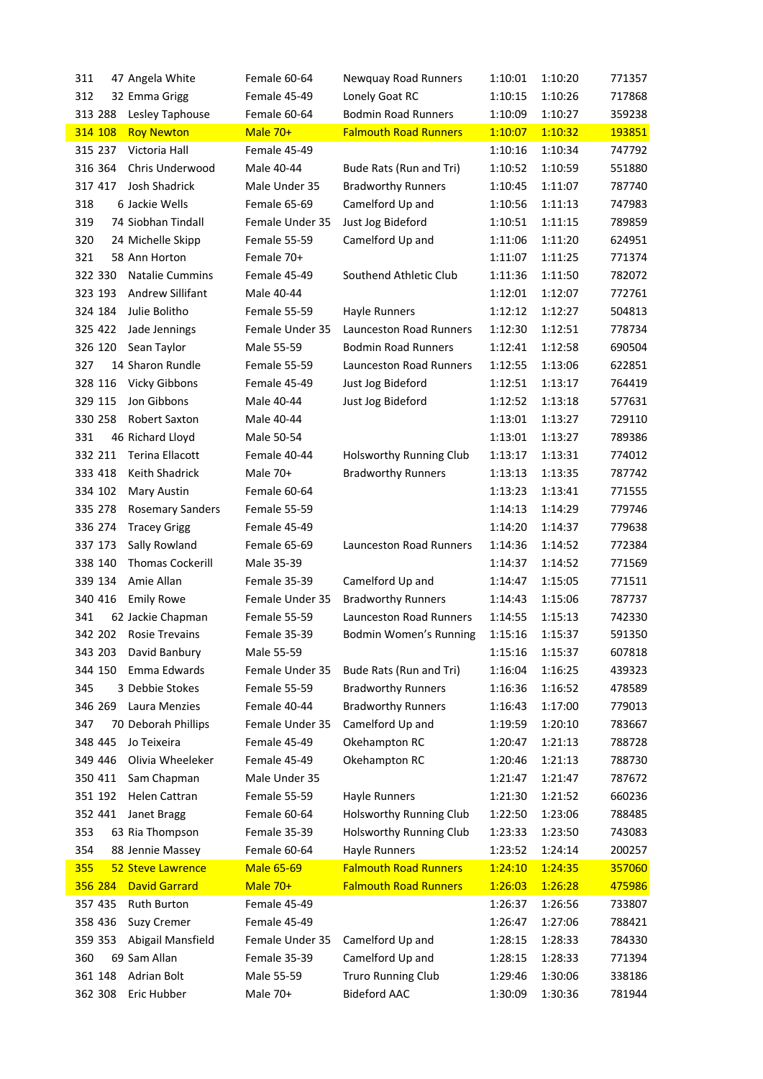| 311<br>47 Angela White             | Female 60-64      | Newquay Road Runners           | 1:10:01 | 1:10:20 | 771357 |
|------------------------------------|-------------------|--------------------------------|---------|---------|--------|
| 312<br>32 Emma Grigg               | Female 45-49      | Lonely Goat RC                 | 1:10:15 | 1:10:26 | 717868 |
| 313 288<br>Lesley Taphouse         | Female 60-64      | <b>Bodmin Road Runners</b>     | 1:10:09 | 1:10:27 | 359238 |
| 314 108<br><b>Roy Newton</b>       | Male 70+          | <b>Falmouth Road Runners</b>   | 1:10:07 | 1:10:32 | 193851 |
| 315 237<br>Victoria Hall           | Female 45-49      |                                | 1:10:16 | 1:10:34 | 747792 |
| 316 364<br>Chris Underwood         | Male 40-44        | Bude Rats (Run and Tri)        | 1:10:52 | 1:10:59 | 551880 |
| 317 417<br>Josh Shadrick           | Male Under 35     | <b>Bradworthy Runners</b>      | 1:10:45 | 1:11:07 | 787740 |
| 318<br>6 Jackie Wells              | Female 65-69      | Camelford Up and               | 1:10:56 | 1:11:13 | 747983 |
| 319<br>74 Siobhan Tindall          | Female Under 35   | Just Jog Bideford              | 1:10:51 | 1:11:15 | 789859 |
| 320<br>24 Michelle Skipp           | Female 55-59      | Camelford Up and               | 1:11:06 | 1:11:20 | 624951 |
| 321<br>58 Ann Horton               | Female 70+        |                                | 1:11:07 | 1:11:25 | 771374 |
| 322 330<br><b>Natalie Cummins</b>  | Female 45-49      | Southend Athletic Club         | 1:11:36 | 1:11:50 | 782072 |
| 323 193<br>Andrew Sillifant        | Male 40-44        |                                | 1:12:01 | 1:12:07 | 772761 |
| 324 184<br>Julie Bolitho           | Female 55-59      | Hayle Runners                  | 1:12:12 | 1:12:27 | 504813 |
| 325 422<br>Jade Jennings           | Female Under 35   | <b>Launceston Road Runners</b> | 1:12:30 | 1:12:51 | 778734 |
| 326 120<br>Sean Taylor             | Male 55-59        | <b>Bodmin Road Runners</b>     | 1:12:41 | 1:12:58 | 690504 |
| 327<br>14 Sharon Rundle            | Female 55-59      | Launceston Road Runners        | 1:12:55 | 1:13:06 | 622851 |
| 328 116<br><b>Vicky Gibbons</b>    | Female 45-49      | Just Jog Bideford              | 1:12:51 | 1:13:17 | 764419 |
| 329 115<br>Jon Gibbons             | Male 40-44        | Just Jog Bideford              | 1:12:52 | 1:13:18 | 577631 |
| 330 258<br><b>Robert Saxton</b>    | Male 40-44        |                                | 1:13:01 | 1:13:27 | 729110 |
| 331<br>46 Richard Lloyd            | Male 50-54        |                                | 1:13:01 | 1:13:27 | 789386 |
| 332 211<br>Terina Ellacott         | Female 40-44      | Holsworthy Running Club        | 1:13:17 | 1:13:31 | 774012 |
| Keith Shadrick<br>333 418          | Male 70+          | <b>Bradworthy Runners</b>      | 1:13:13 | 1:13:35 | 787742 |
| 334 102<br>Mary Austin             | Female 60-64      |                                | 1:13:23 | 1:13:41 | 771555 |
| 335 278<br><b>Rosemary Sanders</b> | Female 55-59      |                                | 1:14:13 | 1:14:29 | 779746 |
| 336 274<br><b>Tracey Grigg</b>     | Female 45-49      |                                | 1:14:20 | 1:14:37 | 779638 |
| 337 173<br>Sally Rowland           | Female 65-69      | Launceston Road Runners        | 1:14:36 | 1:14:52 | 772384 |
| 338 140<br><b>Thomas Cockerill</b> | Male 35-39        |                                | 1:14:37 | 1:14:52 | 771569 |
| 339 134<br>Amie Allan              | Female 35-39      | Camelford Up and               | 1:14:47 | 1:15:05 | 771511 |
| 340 416<br><b>Emily Rowe</b>       | Female Under 35   | <b>Bradworthy Runners</b>      | 1:14:43 | 1:15:06 | 787737 |
| 341<br>62 Jackie Chapman           | Female 55-59      | Launceston Road Runners        | 1:14:55 | 1:15:13 | 742330 |
| 342 202<br><b>Rosie Trevains</b>   | Female 35-39      | Bodmin Women's Running         | 1:15:16 | 1:15:37 | 591350 |
| 343 203<br>David Banbury           | Male 55-59        |                                | 1:15:16 | 1:15:37 | 607818 |
| 344 150<br>Emma Edwards            | Female Under 35   | Bude Rats (Run and Tri)        | 1:16:04 | 1:16:25 | 439323 |
| 345<br>3 Debbie Stokes             | Female 55-59      | <b>Bradworthy Runners</b>      | 1:16:36 | 1:16:52 | 478589 |
| 346 269<br>Laura Menzies           | Female 40-44      | <b>Bradworthy Runners</b>      | 1:16:43 | 1:17:00 | 779013 |
| 347<br>70 Deborah Phillips         | Female Under 35   | Camelford Up and               | 1:19:59 | 1:20:10 | 783667 |
| 348 445<br>Jo Teixeira             | Female 45-49      | Okehampton RC                  | 1:20:47 | 1:21:13 | 788728 |
| 349 446<br>Olivia Wheeleker        | Female 45-49      | Okehampton RC                  | 1:20:46 | 1:21:13 | 788730 |
| 350 411<br>Sam Chapman             | Male Under 35     |                                | 1:21:47 | 1:21:47 | 787672 |
| 351 192<br>Helen Cattran           | Female 55-59      | <b>Hayle Runners</b>           | 1:21:30 | 1:21:52 | 660236 |
| 352 441<br>Janet Bragg             | Female 60-64      | Holsworthy Running Club        | 1:22:50 | 1:23:06 | 788485 |
| 353<br>63 Ria Thompson             | Female 35-39      | Holsworthy Running Club        | 1:23:33 | 1:23:50 | 743083 |
| 354<br>88 Jennie Massey            | Female 60-64      | <b>Hayle Runners</b>           | 1:23:52 | 1:24:14 | 200257 |
| 355<br><b>52 Steve Lawrence</b>    | <b>Male 65-69</b> | <b>Falmouth Road Runners</b>   | 1:24:10 | 1:24:35 | 357060 |
| 356 284<br><b>David Garrard</b>    | Male 70+          | <b>Falmouth Road Runners</b>   | 1:26:03 | 1:26:28 | 475986 |
| Ruth Burton<br>357 435             | Female 45-49      |                                | 1:26:37 | 1:26:56 | 733807 |
| 358 436<br><b>Suzy Cremer</b>      | Female 45-49      |                                | 1:26:47 | 1:27:06 | 788421 |
| 359 353<br>Abigail Mansfield       | Female Under 35   | Camelford Up and               | 1:28:15 | 1:28:33 | 784330 |
| 360<br>69 Sam Allan                | Female 35-39      | Camelford Up and               | 1:28:15 | 1:28:33 | 771394 |
| 361 148<br>Adrian Bolt             | Male 55-59        | <b>Truro Running Club</b>      | 1:29:46 | 1:30:06 | 338186 |
| 362 308<br>Eric Hubber             | Male 70+          | <b>Bideford AAC</b>            | 1:30:09 | 1:30:36 | 781944 |
|                                    |                   |                                |         |         |        |